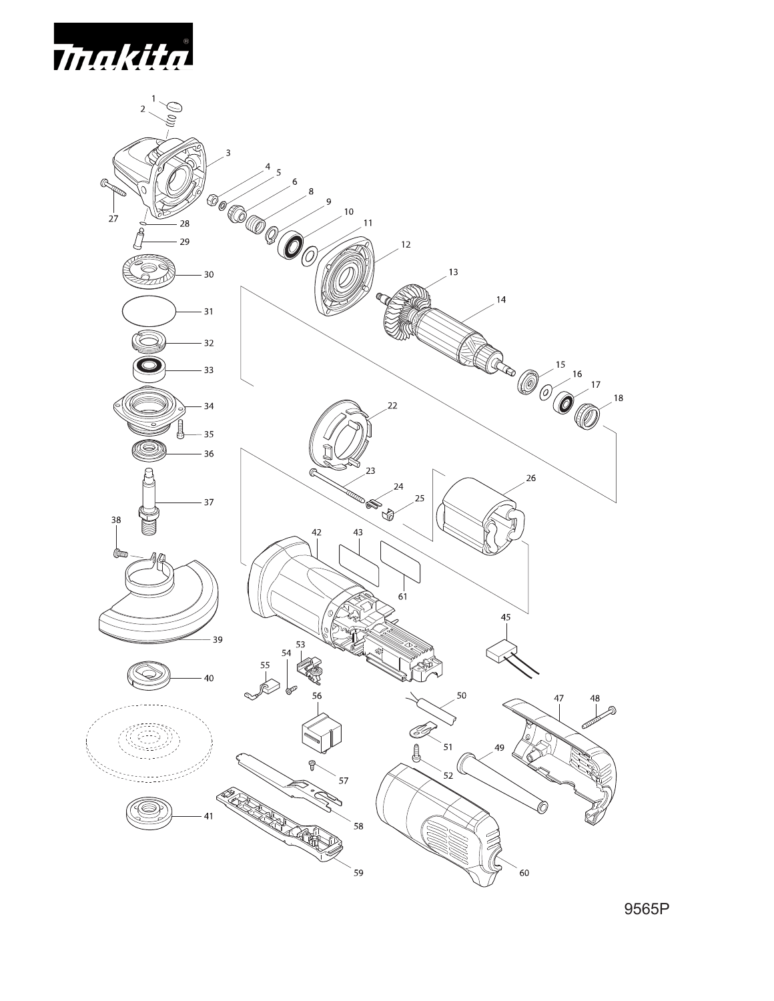



9565P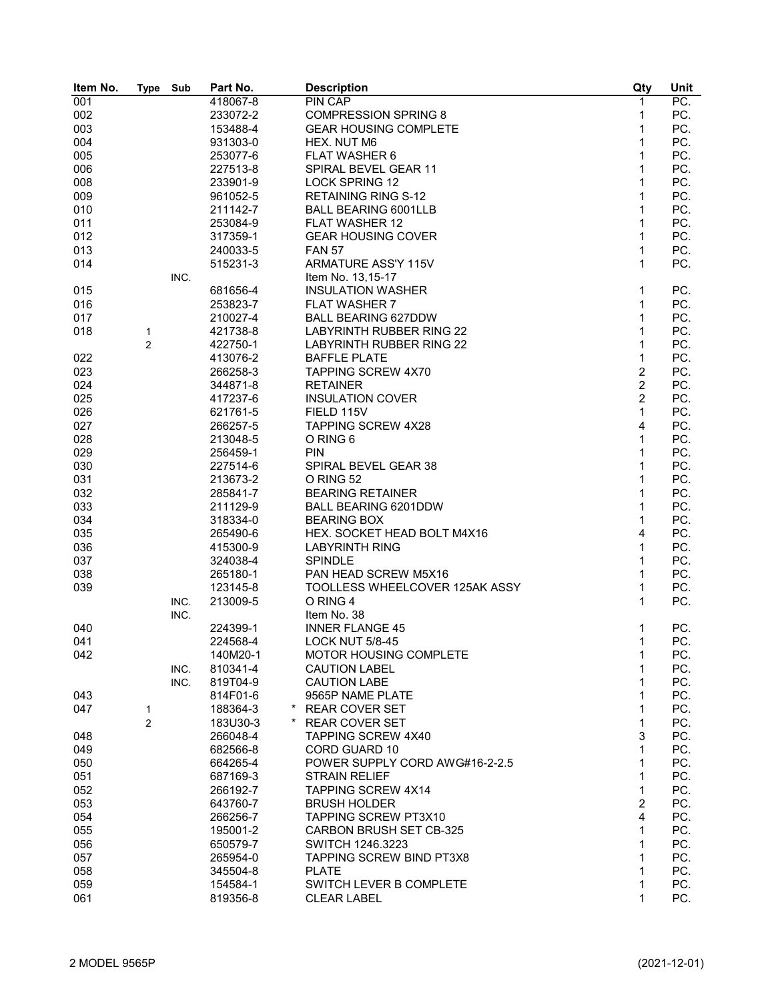| Item No. | <b>Type</b>    | Sub  | Part No.            | <b>Description</b>              | Qty            | Unit |
|----------|----------------|------|---------------------|---------------------------------|----------------|------|
| 001      |                |      | 418067-8            | <b>PIN CAP</b>                  | 1              | PC.  |
| 002      |                |      | 233072-2            | <b>COMPRESSION SPRING 8</b>     | 1              | PC.  |
| 003      |                |      | 153488-4            | <b>GEAR HOUSING COMPLETE</b>    | $\mathbf{1}$   | PC.  |
| 004      |                |      | 931303-0            | HEX. NUT M6                     | $\mathbf{1}$   | PC.  |
| 005      |                |      | 253077-6            | <b>FLAT WASHER 6</b>            | 1              | PC.  |
| 006      |                |      | 227513-8            | SPIRAL BEVEL GEAR 11            | 1              | PC.  |
| 008      |                |      | 233901-9            | <b>LOCK SPRING 12</b>           | 1              | PC.  |
| 009      |                |      | 961052-5            | <b>RETAINING RING S-12</b>      | 1              | PC.  |
| 010      |                |      | 211142-7            | <b>BALL BEARING 6001LLB</b>     | 1              | PC.  |
| 011      |                |      | 253084-9            | FLAT WASHER 12                  | 1              | PC.  |
| 012      |                |      | 317359-1            | <b>GEAR HOUSING COVER</b>       | $\mathbf 1$    | PC.  |
|          |                |      |                     |                                 | $\mathbf{1}$   |      |
| 013      |                |      | 240033-5            | <b>FAN 57</b>                   | 1              | PC.  |
| 014      |                |      | 515231-3            | ARMATURE ASS'Y 115V             |                | PC.  |
|          |                | INC. |                     | Item No. 13,15-17               |                |      |
| 015      |                |      | 681656-4            | <b>INSULATION WASHER</b>        | 1              | PC.  |
| 016      |                |      | 253823-7            | <b>FLAT WASHER 7</b>            | 1              | PC.  |
| 017      |                |      | 210027-4            | <b>BALL BEARING 627DDW</b>      | 1              | PC.  |
| 018      | 1              |      | 421738-8            | <b>LABYRINTH RUBBER RING 22</b> | 1              | PC.  |
|          | $\overline{c}$ |      | 422750-1            | <b>LABYRINTH RUBBER RING 22</b> | 1              | PC.  |
| 022      |                |      | 413076-2            | <b>BAFFLE PLATE</b>             | $\mathbf 1$    | PC.  |
| 023      |                |      | 266258-3            | <b>TAPPING SCREW 4X70</b>       | $\overline{2}$ | PC.  |
| 024      |                |      | 344871-8            | <b>RETAINER</b>                 | $\overline{c}$ | PC.  |
| 025      |                |      | 417237-6            | <b>INSULATION COVER</b>         | $\overline{2}$ | PC.  |
| 026      |                |      | 621761-5            | FIELD 115V                      | 1              | PC.  |
| 027      |                |      | 266257-5            | <b>TAPPING SCREW 4X28</b>       | 4              | PC.  |
| 028      |                |      | 213048-5            | O RING 6                        | 1              | PC.  |
| 029      |                |      | 256459-1            | <b>PIN</b>                      | 1              | PC.  |
| 030      |                |      | 227514-6            | SPIRAL BEVEL GEAR 38            | 1              | PC.  |
| 031      |                |      | 213673-2            | O RING 52                       | $\mathbf 1$    | PC.  |
| 032      |                |      | 285841-7            | <b>BEARING RETAINER</b>         | $\mathbf{1}$   | PC.  |
| 033      |                |      | 211129-9            | <b>BALL BEARING 6201DDW</b>     | 1              | PC.  |
| 034      |                |      | 318334-0            | <b>BEARING BOX</b>              | 1              | PC.  |
| 035      |                |      | 265490-6            | HEX. SOCKET HEAD BOLT M4X16     | 4              | PC.  |
| 036      |                |      | 415300-9            | <b>LABYRINTH RING</b>           | 1              | PC.  |
| 037      |                |      | 324038-4            | <b>SPINDLE</b>                  | 1              | PC.  |
|          |                |      | 265180-1            | PAN HEAD SCREW M5X16            | 1              |      |
| 038      |                |      |                     |                                 |                | PC.  |
| 039      |                |      | 123145-8            | TOOLLESS WHEELCOVER 125AK ASSY  | 1              | PC.  |
|          |                | INC. | 213009-5            | O RING 4                        | 1              | PC.  |
|          |                | INC. |                     | Item No. 38                     |                |      |
| 040      |                |      | 224399-1            | <b>INNER FLANGE 45</b>          | 1              | PC.  |
| 041      |                |      | 224568-4            | <b>LOCK NUT 5/8-45</b>          | 1              | PC.  |
| 042      |                |      | 140M20-1            | MOTOR HOUSING COMPLETE          | 1              | PC.  |
|          |                | INC. | 810341-4            | <b>CAUTION LABEL</b>            | 1              | PC.  |
|          |                | INC. | 819T04-9            | <b>CAUTION LABE</b>             | 1              | PC.  |
| 043      |                |      | 814F01-6            | 9565P NAME PLATE                | 1              | PC.  |
| 047      | 1              |      | $\star$<br>188364-3 | <b>REAR COVER SET</b>           | 1              | PC.  |
|          | 2              |      | 183U30-3            | <b>REAR COVER SET</b>           | 1              | PC.  |
| 048      |                |      | 266048-4            | TAPPING SCREW 4X40              | 3              | PC.  |
| 049      |                |      | 682566-8            | CORD GUARD 10                   | 1              | PC.  |
| 050      |                |      | 664265-4            | POWER SUPPLY CORD AWG#16-2-2.5  | 1              | PC.  |
| 051      |                |      | 687169-3            | <b>STRAIN RELIEF</b>            | 1              | PC.  |
| 052      |                |      | 266192-7            | TAPPING SCREW 4X14              | 1              | PC.  |
| 053      |                |      | 643760-7            | <b>BRUSH HOLDER</b>             | $\overline{c}$ | PC.  |
| 054      |                |      | 266256-7            | TAPPING SCREW PT3X10            | 4              | PC.  |
| 055      |                |      | 195001-2            | CARBON BRUSH SET CB-325         | 1              | PC.  |
| 056      |                |      | 650579-7            | SWITCH 1246.3223                | 1              | PC.  |
| 057      |                |      | 265954-0            | <b>TAPPING SCREW BIND PT3X8</b> | 1              | PC.  |
| 058      |                |      | 345504-8            | <b>PLATE</b>                    | 1              | PC.  |
| 059      |                |      | 154584-1            | SWITCH LEVER B COMPLETE         | 1              | PC.  |
| 061      |                |      | 819356-8            | <b>CLEAR LABEL</b>              | 1              | PC.  |
|          |                |      |                     |                                 |                |      |